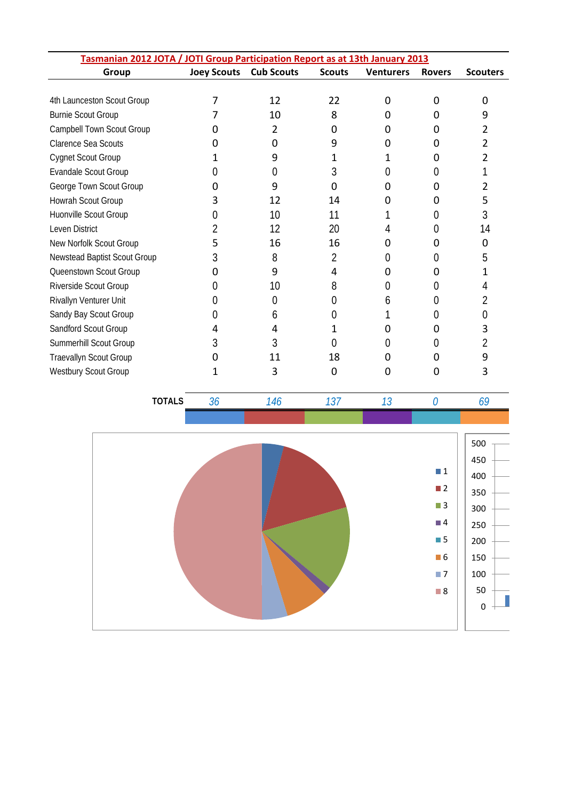| Tasmanian 2012 JOTA / JOTI Group Participation Report as at 13th January 2013 |                    |                   |               |                  |               |                 |  |  |  |
|-------------------------------------------------------------------------------|--------------------|-------------------|---------------|------------------|---------------|-----------------|--|--|--|
| Group                                                                         | <b>Joey Scouts</b> | <b>Cub Scouts</b> | <b>Scouts</b> | <b>Venturers</b> | <b>Rovers</b> | <b>Scouters</b> |  |  |  |
|                                                                               |                    |                   |               |                  |               |                 |  |  |  |
| 4th Launceston Scout Group                                                    |                    | 12                | 22            | 0                | 0             |                 |  |  |  |
| <b>Burnie Scout Group</b>                                                     |                    | 10                | 8             | 0                | 0             |                 |  |  |  |
| Campbell Town Scout Group                                                     |                    | 2                 | Ω             | O                | 0             |                 |  |  |  |
| <b>Clarence Sea Scouts</b>                                                    | 0                  | 0                 | 9             | 0                | 0             |                 |  |  |  |
| <b>Cygnet Scout Group</b>                                                     | 1                  | 9                 | 1             | 1                | 0             |                 |  |  |  |
| Evandale Scout Group                                                          | 0                  | 0                 | 3             | 0                | 0             |                 |  |  |  |
| George Town Scout Group                                                       | Ω                  | 9                 | 0             | O                | Ω             | 2               |  |  |  |
| Howrah Scout Group                                                            | 3                  | 12                | 14            | O                | 0             | 5               |  |  |  |
| Huonville Scout Group                                                         | 0                  | 10                | 11            |                  | 0             | 3               |  |  |  |
| Leven District                                                                |                    | 12                | 20            | 4                |               | 14              |  |  |  |
| New Norfolk Scout Group                                                       | 5                  | 16                | 16            | O                | 0             | 0               |  |  |  |
| Newstead Baptist Scout Group                                                  | 3                  | 8                 | 2             | 0                | 0             | 5               |  |  |  |
| Queenstown Scout Group                                                        |                    | 9                 | 4             |                  | 0             |                 |  |  |  |
| Riverside Scout Group                                                         | 0                  | 10                | 8             | $^{(1)}$         | 0             |                 |  |  |  |
| Rivallyn Venturer Unit                                                        | 0                  | 0                 | $\mathcal{O}$ | b                |               |                 |  |  |  |
| Sandy Bay Scout Group                                                         | 0                  | 6                 | 0             |                  |               |                 |  |  |  |
| Sandford Scout Group                                                          | 4                  | 4                 |               | 0                | 0             | 3               |  |  |  |
| Summerhill Scout Group                                                        | 3                  | 3                 |               |                  |               |                 |  |  |  |
| Traevallyn Scout Group                                                        | 0                  | 11                | 18            | 0                | 0             |                 |  |  |  |
| <b>Westbury Scout Group</b>                                                   |                    | 3                 | 0             | O                |               | 3               |  |  |  |